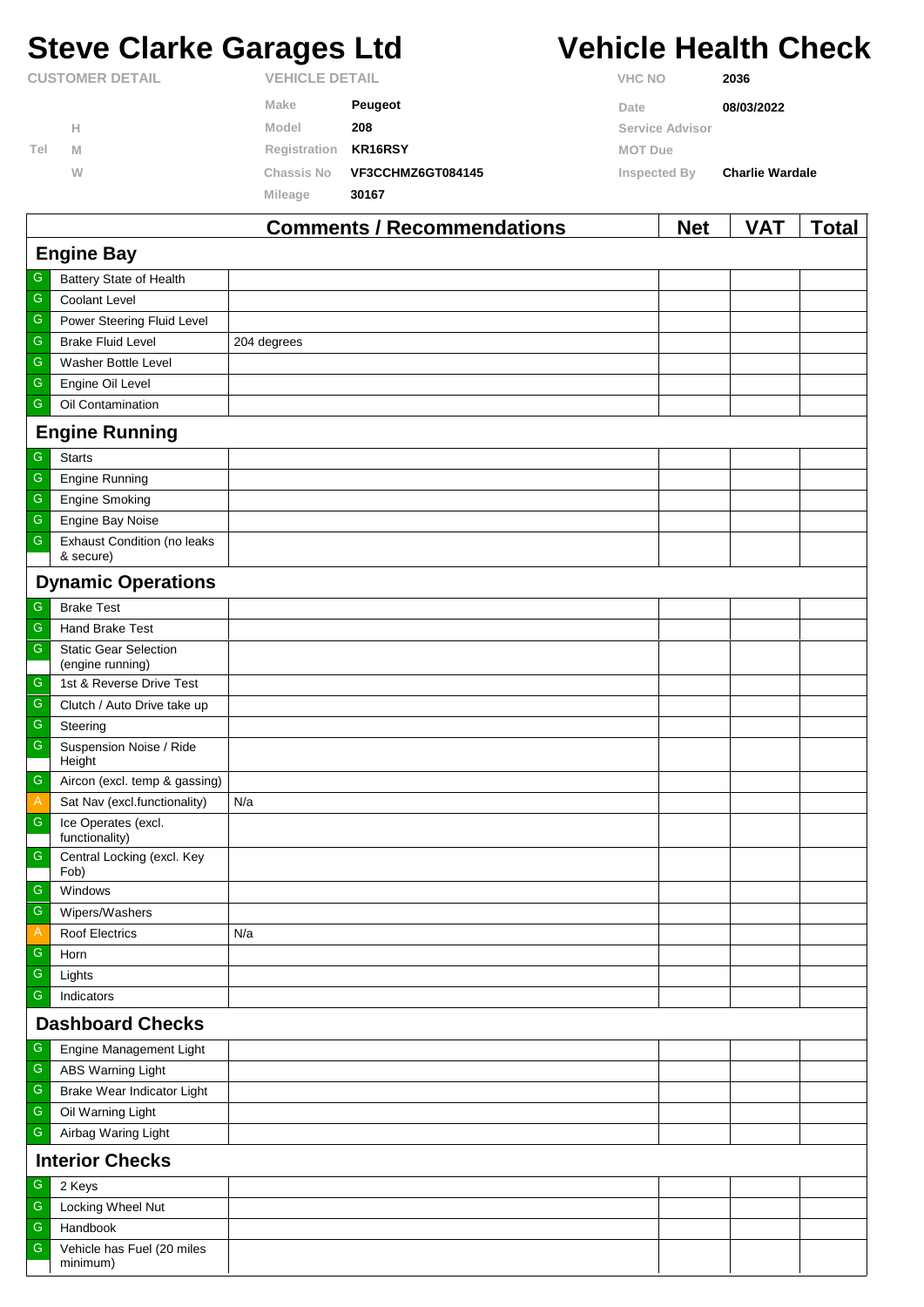# **Steve Clarke Garages Ltd Vehicle Health Check**

|     |                        |                       | Commonts / Recommondations |                | <b>Not</b>      | <b>VAT</b>             | Total |
|-----|------------------------|-----------------------|----------------------------|----------------|-----------------|------------------------|-------|
|     |                        | Mileage               | 30167                      |                |                 |                        |       |
|     | W                      | <b>Chassis No</b>     | VF3CCHMZ6GT084145          | Inspected By   |                 | <b>Charlie Wardale</b> |       |
| Tel | M                      | Registration          | KR16RSY                    | <b>MOT Due</b> |                 |                        |       |
|     | Н                      | Model                 | 208                        |                | Service Advisor |                        |       |
|     |                        | Make                  | <b>Peugeot</b>             | Date           |                 | 08/03/2022             |       |
|     | <b>CUSTOMER DETAIL</b> | <b>VEHICLE DETAIL</b> |                            | <b>VHC NO</b>  |                 | 2036                   |       |

|                         |                                                  | <b>Comments / Recommendations</b> | <b>Net</b> | <b>VAI</b> | I otal |  |  |  |
|-------------------------|--------------------------------------------------|-----------------------------------|------------|------------|--------|--|--|--|
| <b>Engine Bay</b>       |                                                  |                                   |            |            |        |  |  |  |
| G                       | Battery State of Health                          |                                   |            |            |        |  |  |  |
| ${\mathsf G}$           | Coolant Level                                    |                                   |            |            |        |  |  |  |
| ${\mathsf G}$           | Power Steering Fluid Level                       |                                   |            |            |        |  |  |  |
| ${\mathsf G}$           | <b>Brake Fluid Level</b>                         | 204 degrees                       |            |            |        |  |  |  |
| ${\mathsf G}$           | Washer Bottle Level                              |                                   |            |            |        |  |  |  |
| ${\mathsf G}$           | Engine Oil Level                                 |                                   |            |            |        |  |  |  |
| ${\mathsf G}$           | Oil Contamination                                |                                   |            |            |        |  |  |  |
|                         | <b>Engine Running</b>                            |                                   |            |            |        |  |  |  |
| ${\mathsf G}$           | <b>Starts</b>                                    |                                   |            |            |        |  |  |  |
| $\overline{\mathbb{G}}$ | <b>Engine Running</b>                            |                                   |            |            |        |  |  |  |
| ${\mathsf G}$           | <b>Engine Smoking</b>                            |                                   |            |            |        |  |  |  |
| ${\mathsf G}$           | Engine Bay Noise                                 |                                   |            |            |        |  |  |  |
| ${\mathsf G}$           | Exhaust Condition (no leaks<br>& secure)         |                                   |            |            |        |  |  |  |
|                         | <b>Dynamic Operations</b>                        |                                   |            |            |        |  |  |  |
| G                       | <b>Brake Test</b>                                |                                   |            |            |        |  |  |  |
| ${\mathsf G}$           | Hand Brake Test                                  |                                   |            |            |        |  |  |  |
| ${\mathsf G}$           | <b>Static Gear Selection</b><br>(engine running) |                                   |            |            |        |  |  |  |
| ${\mathbb G}$           | 1st & Reverse Drive Test                         |                                   |            |            |        |  |  |  |
| ${\mathsf G}$           | Clutch / Auto Drive take up                      |                                   |            |            |        |  |  |  |
| ${\mathsf G}$           | Steering                                         |                                   |            |            |        |  |  |  |
| ${\mathsf G}$           | Suspension Noise / Ride<br>Height                |                                   |            |            |        |  |  |  |
| G                       | Aircon (excl. temp & gassing)                    |                                   |            |            |        |  |  |  |
| $\mathsf{A}$            | Sat Nav (excl.functionality)                     | N/a                               |            |            |        |  |  |  |
| ${\mathsf G}$           | Ice Operates (excl.<br>functionality)            |                                   |            |            |        |  |  |  |
| ${\mathsf G}$           | Central Locking (excl. Key<br>Fob)               |                                   |            |            |        |  |  |  |
| ${\mathsf G}$           | Windows                                          |                                   |            |            |        |  |  |  |
| $\mathsf G$             | Wipers/Washers                                   |                                   |            |            |        |  |  |  |
| $\mathsf{A}$            | <b>Roof Electrics</b>                            | N/a                               |            |            |        |  |  |  |
| G                       | Horn                                             |                                   |            |            |        |  |  |  |
| ${\mathsf G}$           | Lights                                           |                                   |            |            |        |  |  |  |
| ${\mathsf G}$           | Indicators                                       |                                   |            |            |        |  |  |  |
|                         | <b>Dashboard Checks</b>                          |                                   |            |            |        |  |  |  |
| ${\mathsf G}$           | Engine Management Light                          |                                   |            |            |        |  |  |  |
| ${\mathsf G}$           | <b>ABS Warning Light</b>                         |                                   |            |            |        |  |  |  |
| ${\mathsf G}$           | Brake Wear Indicator Light                       |                                   |            |            |        |  |  |  |
| ${\mathsf G}$           | Oil Warning Light                                |                                   |            |            |        |  |  |  |
| ${\mathsf G}$           | Airbag Waring Light                              |                                   |            |            |        |  |  |  |
|                         | <b>Interior Checks</b>                           |                                   |            |            |        |  |  |  |
| G                       | 2 Keys                                           |                                   |            |            |        |  |  |  |
| ${\mathsf G}$           | Locking Wheel Nut                                |                                   |            |            |        |  |  |  |
| ${\mathsf G}$           | Handbook                                         |                                   |            |            |        |  |  |  |
| G                       | Vehicle has Fuel (20 miles<br>minimum)           |                                   |            |            |        |  |  |  |